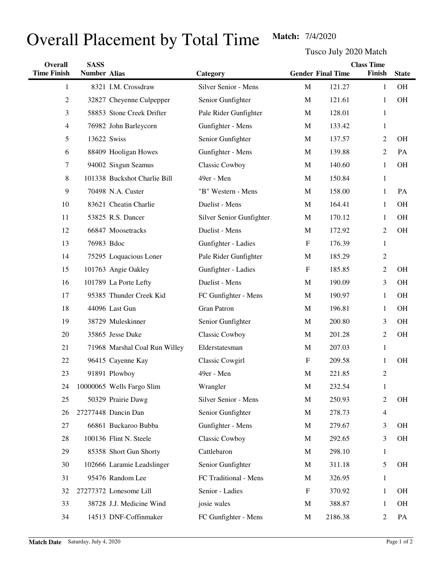## Overall Placement by Total Time Match: 7/4/2020

Tusco July 2020 Match

| Overall            | <b>SASS</b>         |                               | <b>Class Time</b>        |                           |                          |                |              |
|--------------------|---------------------|-------------------------------|--------------------------|---------------------------|--------------------------|----------------|--------------|
| <b>Time Finish</b> | <b>Number Alias</b> |                               | Category                 |                           | <b>Gender Final Time</b> | Finish         | <b>State</b> |
| 1                  |                     | 8321 I.M. Crossdraw           | Silver Senior - Mens     | M                         | 121.27                   | 1              | OH           |
| 2                  |                     | 32827 Cheyenne Culpepper      | Senior Gunfighter        | $\mathbf M$               | 121.61                   | 1              | OH           |
| 3                  |                     | 58853 Stone Creek Drifter     | Pale Rider Gunfighter    | M                         | 128.01                   | 1              |              |
| 4                  |                     | 76982 John Barleycorn         | Gunfighter - Mens        | M                         | 133.42                   | 1              |              |
| 5                  |                     | 13622 Swiss                   | Senior Gunfighter        | $\mathbf M$               | 137.57                   | $\overline{c}$ | OH           |
| 6                  |                     | 88409 Hooligan Howes          | Gunfighter - Mens        | M                         | 139.88                   | $\overline{c}$ | PA           |
| 7                  |                     | 94002 Sixgun Seamus           | <b>Classic Cowboy</b>    | M                         | 140.60                   | 1              | OH           |
| 8                  |                     | 101338 Buckshot Charlie Bill  | 49er - Men               | M                         | 150.84                   | 1              |              |
| 9                  |                     | 70498 N.A. Custer             | "B" Western - Mens       | $\mathbf M$               | 158.00                   | 1              | PA           |
| 10                 |                     | 83621 Cheatin Charlie         | Duelist - Mens           | M                         | 164.41                   | 1              | <b>OH</b>    |
| 11                 |                     | 53825 R.S. Dancer             | Silver Senior Gunfighter | $\mathbf M$               | 170.12                   | 1              | OH           |
| 12                 |                     | 66847 Moosetracks             | Duelist - Mens           | M                         | 172.92                   | $\overline{c}$ | OH           |
| 13                 | 76983 Bdoc          |                               | Gunfighter - Ladies      | $\boldsymbol{\mathrm{F}}$ | 176.39                   | 1              |              |
| 14                 |                     | 75295 Loquacious Loner        | Pale Rider Gunfighter    | M                         | 185.29                   | 2              |              |
| 15                 |                     | 101763 Angie Oakley           | Gunfighter - Ladies      | $\boldsymbol{\mathrm{F}}$ | 185.85                   | $\overline{c}$ | OH           |
| 16                 |                     | 101789 La Porte Lefty         | Duelist - Mens           | M                         | 190.09                   | 3              | OН           |
| 17                 |                     | 95385 Thunder Creek Kid       | FC Gunfighter - Mens     | M                         | 190.97                   | 1              | OH           |
| 18                 |                     | 44096 Last Gun                | Gran Patron              | M                         | 196.81                   | 1              | <b>OH</b>    |
| 19                 |                     | 38729 Muleskinner             | Senior Gunfighter        | M                         | 200.80                   | 3              | OН           |
| 20                 |                     | 35865 Jesse Duke              | Classic Cowboy           | M                         | 201.28                   | 2              | OH           |
| 21                 |                     | 71968 Marshal Coal Run Willey | Elderstatesman           | M                         | 207.03                   | $\mathbf{1}$   |              |
| 22                 |                     | 96415 Cayenne Kay             | <b>Classic Cowgirl</b>   | $\mathbf F$               | 209.58                   | 1              | OН           |
| 23                 |                     | 91891 Plowboy                 | 49er - Men               | M                         | 221.85                   | 2              |              |
| 24                 |                     | 10000065 Wells Fargo Slim     | Wrangler                 | $\mathbf M$               | 232.54                   | 1              |              |
| 25                 |                     | 50329 Prairie Dawg            | Silver Senior - Mens     | $\mathbf M$               | 250.93                   | $\overline{c}$ | OН           |
| 26                 |                     | 27277448 Dancin Dan           | Senior Gunfighter        | M                         | 278.73                   | 4              |              |
| 27                 |                     | 66861 Buckaroo Bubba          | Gunfighter - Mens        | M                         | 279.67                   | 3              | OН           |
| 28                 |                     | 100136 Flint N. Steele        | Classic Cowboy           | M                         | 292.65                   | 3              | OH           |
| 29                 |                     | 85358 Short Gun Shorty        | Cattlebaron              | M                         | 298.10                   | 1              |              |
| 30                 |                     | 102666 Laramie Leadslinger    | Senior Gunfighter        | M                         | 311.18                   | 5              | OН           |
| 31                 |                     | 95476 Random Lee              | FC Traditional - Mens    | M                         | 326.95                   | 1              |              |
| 32                 |                     | 27277372 Lonesome Lill        | Senior - Ladies          | $\mathbf F$               | 370.92                   | 1              | OН           |
| 33                 |                     | 38728 J.J. Medicine Wind      | josie wales              | M                         | 388.87                   | 1              | OН           |
| 34                 |                     | 14513 DNF-Coffinmaker         | FC Gunfighter - Mens     | M                         | 2186.38                  | 2              | PA           |